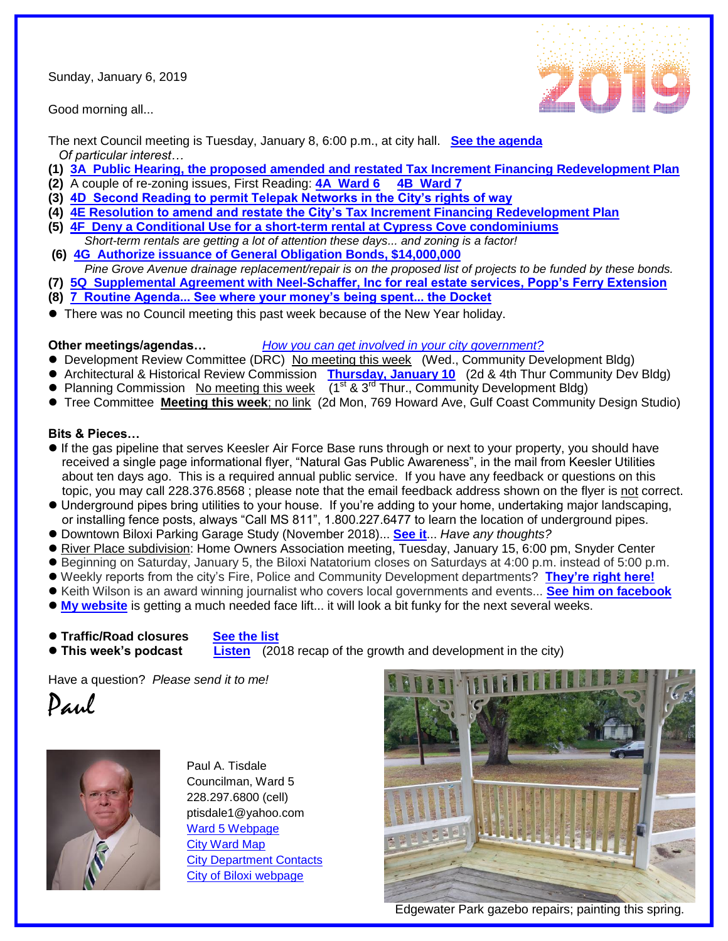Sunday, January 6, 2019

Good morning all...



The next Council meeting is Tuesday, January 8, 6:00 p.m., at city hall. **[See the agenda](https://www.biloxi.ms.us/agendas/citycouncil/2019/010819/010819agenda.pdf)**  *Of particular interest…*

- **(1) 3A Public Hearing, [the proposed amended and restated Tax Increment Financing Redevelopment Plan](https://www.biloxi.ms.us/agendas/citycouncil/2019/010819/010819bleg.pdf)**
- **(2)** A couple of re-zoning issues, First Reading: **[4A Ward 6](https://www.biloxi.ms.us/agendas/citycouncil/2019/010819/010819bpc.pdf)**
- **(3) [4D Second Reading to permit Telepak Networks in the City's rights of way](https://www.biloxi.ms.us/agendas/citycouncil/2019/010819/121818eleg.pdf)**
- **(4) [4E Resolution to amend and restate the City's Tax Increment Financing Redevelopment Plan](https://www.biloxi.ms.us/agendas/citycouncil/2019/010819/010819bleg.pdf)**
- **(5) [4F Deny a Conditional Use for a short-term rental at Cypress Cove condominiums](https://www.biloxi.ms.us/agendas/citycouncil/2019/010819/010819apc.pdf)**
- *Short-term rentals are getting a lot of attention these days... and zoning is a factor!* **(6) [4G Authorize issuance of General Obligation Bonds, \\$14,000,000](https://www.biloxi.ms.us/agendas/citycouncil/2019/010819/010819cleg.pdf)**
- *Pine Grove Avenue drainage replacement/repair is on the proposed list of projects to be funded by these bonds.*
- **(7) [5Q Supplemental Agreement with Neel-Schaffer, Inc for real estate services, Popp's Ferry Extension](https://www.biloxi.ms.us/agendas/citycouncil/2019/010819/010819beng.pdf)**
- **(8) [7 Routine Agenda... See where your money's being spent... the Docket](https://www.biloxi.ms.us/agendas/citycouncil/2019/010819/010819rtn.pdf)**
- There was no Council meeting this past week because of the New Year holiday.

## **Other meetings/agendas…** *[How you can get involved in your city government?](https://www.biloxi.ms.us/residents/public-meetings/)*

- Development Review Committee (DRC) No meeting this week (Wed., Community Development Bldg)
- Architectural & Historical Review Commission **[Thursday, January 10](https://www.biloxi.ms.us/agendas/AHRC/2019/AHRC-2019-01-10.pdf)** (2d & 4th Thur Community Dev Bldg)
- Planning Commission No meeting this week  $(1^{st} 8.3^{rd} )$  Thur., Community Development Bldg)
- Tree Committee **Meeting this week**; no link (2d Mon, 769 Howard Ave, Gulf Coast Community Design Studio)

## **Bits & Pieces…**

- If the gas pipeline that serves Keesler Air Force Base runs through or next to your property, you should have received a single page informational flyer, "Natural Gas Public Awareness", in the mail from Keesler Utilities about ten days ago. This is a required annual public service. If you have any feedback or questions on this topic, you may call 228.376.8568 ; please note that the email feedback address shown on the flyer is not correct.
- Underground pipes bring utilities to your house. If you're adding to your home, undertaking major landscaping, or installing fence posts, always "Call MS 811", 1.800.227.6477 to learn the location of underground pipes.
- Downtown Biloxi Parking Garage Study (November 2018)... **[See it](http://tisdaleforbiloxi.com/wp-content/uploads/2019/01/Downtown-Biloxi-Parking-Garage-Study-Final-copy-Blessey-12-05-18.pdf)**... *Have any thoughts?*
- River Place subdivision: Home Owners Association meeting, Tuesday, January 15, 6:00 pm, Snyder Center
- Beginning on Saturday, January 5, the Biloxi Natatorium closes on Saturdays at 4:00 p.m. instead of 5:00 p.m.
- Weekly reports from the city's Fire, Police and Community Development departments? **[They're right here!](https://www.biloxi.ms.us/weekyreports/)**
- Keith Wilson is an award winning journalist who covers local governments and events... **See [him on facebook](https://www.facebook.com/MMJkeithwilson/posts/1943524459289622?__tn__=K-R)**
- **[My website](http://tisdaleforbiloxi.com/)** is getting a much needed face lift... it will look a bit funky for the next several weeks.
- **Traffic/Road closures [See the list](https://www.biloxi.ms.us/traffic/)**
- 

**This week's podcast [Listen](https://www.biloxi.ms.us/city-desk/)** (2018 recap of the growth and development in the city)

Have a question? *Please send it to me!*





Paul A. Tisdale Councilman, Ward 5 228.297.6800 (cell) ptisdale1@yahoo.com [Ward 5 Webpage](http://tisdaleforbiloxi.com/wp-content/uploads/2018/12/Holidays-2019.pdf) [City Ward Map](https://www.biloxi.ms.us/wp-content/static/residents/voter-information/plan7.pdf) [City Department Contacts](https://www.biloxi.ms.us/contact-us/) [City of Biloxi webpage](https://www.biloxi.ms.us/contact-us/)



Edgewater Park gazebo repairs; painting this spring.